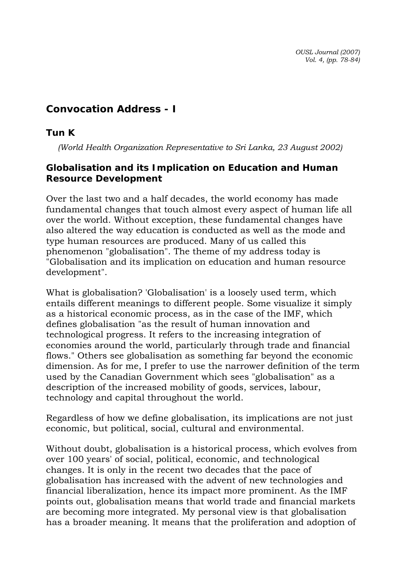*OUSL Journal (2007) Vol. 4, (pp. 78-84)* 

# **Convocation Address - I**

## *Tun K*

*(World Health Organization Representative to Sri Lanka, 23 August 2002)* 

## **Globalisation and its Implication on Education and Human Resource Development**

Over the last two and a half decades, the world economy has made fundamental changes that touch almost every aspect of human life all over the world. Without exception, these fundamental changes have also altered the way education is conducted as well as the mode and type human resources are produced. Many of us called this phenomenon "globalisation". The theme of my address today is "Globalisation and its implication on education and human resource development".

What is globalisation? 'Globalisation' is a loosely used term, which entails different meanings to different people. Some visualize it simply as a historical economic process, as in the case of the IMF, which defines globalisation "as the result of human innovation and technological progress. It refers to the increasing integration of economies around the world, particularly through trade and financial flows." Others see globalisation as something far beyond the economic dimension. As for me, I prefer to use the narrower definition of the term used by the Canadian Government which sees "globalisation" as a description of the increased mobility of goods, services, labour, technology and capital throughout the world.

Regardless of how we define globalisation, its implications are not just economic, but political, social, cultural and environmental.

Without doubt, globalisation is a historical process, which evolves from over 100 years' of social, political, economic, and technological changes. It is only in the recent two decades that the pace of globalisation has increased with the advent of new technologies and financial liberalization, hence its impact more prominent. As the IMF points out, globalisation means that world trade and financial markets are becoming more integrated. My personal view is that globalisation has a broader meaning. lt means that the proliferation and adoption of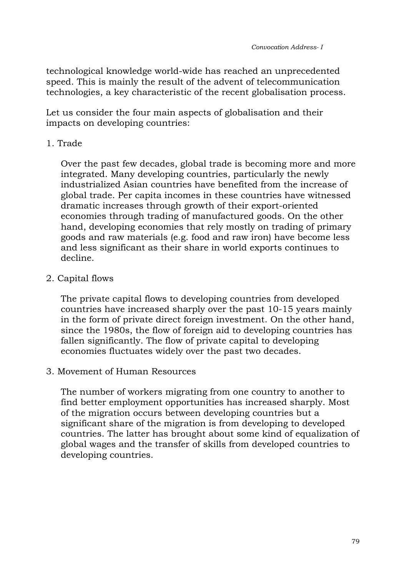technological knowledge world-wide has reached an unprecedented speed. This is mainly the result of the advent of telecommunication technologies, a key characteristic of the recent globalisation process.

Let us consider the four main aspects of globalisation and their impacts on developing countries:

1. Trade

Over the past few decades, global trade is becoming more and more integrated. Many developing countries, particularly the newly industrialized Asian countries have benefited from the increase of global trade. Per capita incomes in these countries have witnessed dramatic increases through growth of their export-oriented economies through trading of manufactured goods. On the other hand, developing economies that rely mostly on trading of primary goods and raw materials (e.g. food and raw iron) have become less and less significant as their share in world exports continues to decline.

2. Capital flows

The private capital flows to developing countries from developed countries have increased sharply over the past 10-15 years mainly in the form of private direct foreign investment. On the other hand, since the 1980s, the flow of foreign aid to developing countries has fallen significantly. The flow of private capital to developing economies fluctuates widely over the past two decades.

3. Movement of Human Resources

The number of workers migrating from one country to another to find better employment opportunities has increased sharply. Most of the migration occurs between developing countries but a significant share of the migration is from developing to developed countries. The latter has brought about some kind of equalization of global wages and the transfer of skills from developed countries to developing countries.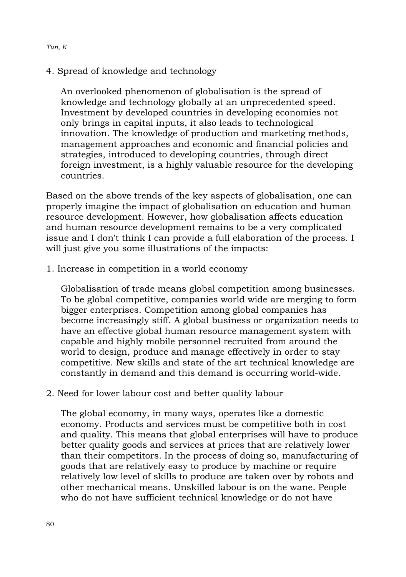#### *Tun, K*

4. Spread of knowledge and technology

An overlooked phenomenon of globalisation is the spread of knowledge and technology globally at an unprecedented speed. Investment by developed countries in developing economies not only brings in capital inputs, it also leads to technological innovation. The knowledge of production and marketing methods, management approaches and economic and financial policies and strategies, introduced to developing countries, through direct foreign investment, is a highly valuable resource for the developing countries.

Based on the above trends of the key aspects of globalisation, one can properly imagine the impact of globalisation on education and human resource development. However, how globalisation affects education and human resource development remains to be a very complicated issue and I don't think I can provide a full elaboration of the process. I will just give you some illustrations of the impacts:

1. Increase in competition in a world economy

Globalisation of trade means global competition among businesses. To be global competitive, companies world wide are merging to form bigger enterprises. Competition among global companies has become increasingly stiff. A global business or organization needs to have an effective global human resource management system with capable and highly mobile personnel recruited from around the world to design, produce and manage effectively in order to stay competitive. New skills and state of the art technical knowledge are constantly in demand and this demand is occurring world-wide.

2. Need for lower labour cost and better quality labour

The global economy, in many ways, operates like a domestic economy. Products and services must be competitive both in cost and quality. This means that global enterprises will have to produce better quality goods and services at prices that are relatively lower than their competitors. In the process of doing so, manufacturing of goods that are relatively easy to produce by machine or require relatively low level of skills to produce are taken over by robots and other mechanical means. Unskilled labour is on the wane. People who do not have sufficient technical knowledge or do not have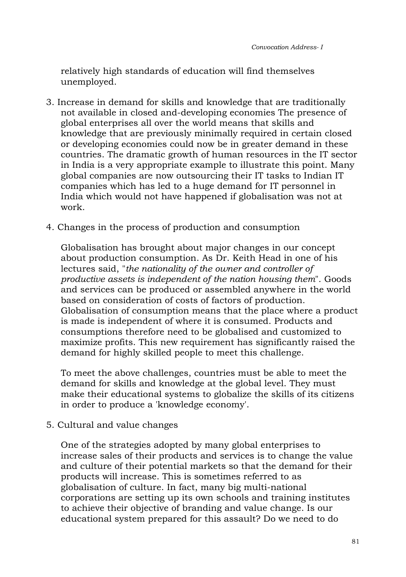relatively high standards of education will find themselves unemployed.

- 3. Increase in demand for skills and knowledge that are traditionally not available in closed and-developing economies The presence of global enterprises all over the world means that skills and knowledge that are previously minimally required in certain closed or developing economies could now be in greater demand in these countries. The dramatic growth of human resources in the IT sector in India is a very appropriate example to illustrate this point. Many global companies are now outsourcing their IT tasks to Indian IT companies which has led to a huge demand for IT personnel in India which would not have happened if globalisation was not at work.
- 4. Changes in the process of production and consumption

Globalisation has brought about major changes in our concept about production consumption. As Dr. Keith Head in one of his lectures said, "*the nationality of the owner and controller of productive assets is independent of the nation housing them*". Goods and services can be produced or assembled anywhere in the world based on consideration of costs of factors of production. Globalisation of consumption means that the place where a product is made is independent of where it is consumed. Products and consumptions therefore need to be globalised and customized to maximize profits. This new requirement has significantly raised the demand for highly skilled people to meet this challenge.

To meet the above challenges, countries must be able to meet the demand for skills and knowledge at the global level. They must make their educational systems to globalize the skills of its citizens in order to produce a 'knowledge economy'.

5. Cultural and value changes

One of the strategies adopted by many global enterprises to increase sales of their products and services is to change the value and culture of their potential markets so that the demand for their products will increase. This is sometimes referred to as globalisation of culture. In fact, many big multi-national corporations are setting up its own schools and training institutes to achieve their objective of branding and value change. Is our educational system prepared for this assault? Do we need to do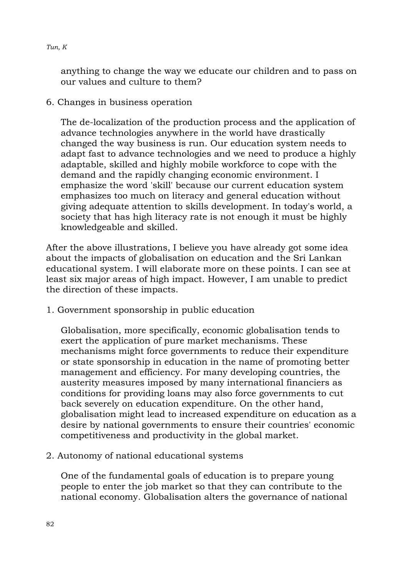#### *Tun, K*

anything to change the way we educate our children and to pass on our values and culture to them?

6. Changes in business operation

The de-localization of the production process and the application of advance technologies anywhere in the world have drastically changed the way business is run. Our education system needs to adapt fast to advance technologies and we need to produce a highly adaptable, skilled and highly mobile workforce to cope with the demand and the rapidly changing economic environment. I emphasize the word 'skill' because our current education system emphasizes too much on literacy and general education without giving adequate attention to skills development. In today's world, a society that has high literacy rate is not enough it must be highly knowledgeable and skilled.

After the above illustrations, I believe you have already got some idea about the impacts of globalisation on education and the Sri Lankan educational system. I will elaborate more on these points. I can see at least six major areas of high impact. However, I am unable to predict the direction of these impacts.

1. Government sponsorship in public education

Globalisation, more specifically, economic globalisation tends to exert the application of pure market mechanisms. These mechanisms might force governments to reduce their expenditure or state sponsorship in education in the name of promoting better management and efficiency. For many developing countries, the austerity measures imposed by many international financiers as conditions for providing loans may also force governments to cut back severely on education expenditure. On the other hand, globalisation might lead to increased expenditure on education as a desire by national governments to ensure their countries' economic competitiveness and productivity in the global market.

2. Autonomy of national educational systems

One of the fundamental goals of education is to prepare young people to enter the job market so that they can contribute to the national economy. Globalisation alters the governance of national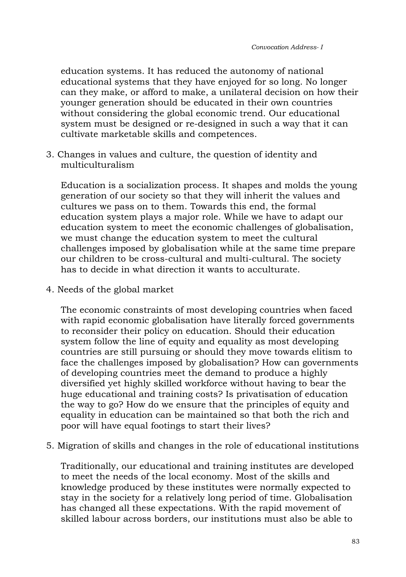education systems. It has reduced the autonomy of national educational systems that they have enjoyed for so long. No longer can they make, or afford to make, a unilateral decision on how their younger generation should be educated in their own countries without considering the global economic trend. Our educational system must be designed or re-designed in such a way that it can cultivate marketable skills and competences.

3. Changes in values and culture, the question of identity and multiculturalism

Education is a socialization process. It shapes and molds the young generation of our society so that they will inherit the values and cultures we pass on to them. Towards this end, the formal education system plays a major role. While we have to adapt our education system to meet the economic challenges of globalisation, we must change the education system to meet the cultural challenges imposed by globalisation while at the same time prepare our children to be cross-cultural and multi-cultural. The society has to decide in what direction it wants to acculturate.

4. Needs of the global market

The economic constraints of most developing countries when faced with rapid economic globalisation have literally forced governments to reconsider their policy on education. Should their education system follow the line of equity and equality as most developing countries are still pursuing or should they move towards elitism to face the challenges imposed by globalisation? How can governments of developing countries meet the demand to produce a highly diversified yet highly skilled workforce without having to bear the huge educational and training costs? Is privatisation of education the way to go? How do we ensure that the principles of equity and equality in education can be maintained so that both the rich and poor will have equal footings to start their lives?

5. Migration of skills and changes in the role of educational institutions

Traditionally, our educational and training institutes are developed to meet the needs of the local economy. Most of the skills and knowledge produced by these institutes were normally expected to stay in the society for a relatively long period of time. Globalisation has changed all these expectations. With the rapid movement of skilled labour across borders, our institutions must also be able to